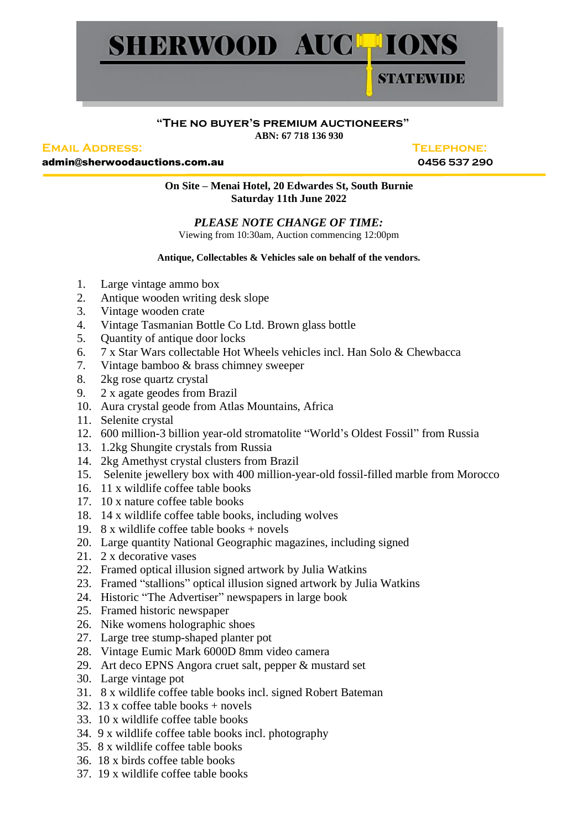

## **"The no buyer's premium auctioneers" ABN: 67 718 136 930**

## **Email Address: Telephone:**

admin@sherwoodauctions.com.au **0456 537 290**

**On Site – Menai Hotel, 20 Edwardes St, South Burnie Saturday 11th June 2022**

## *PLEASE NOTE CHANGE OF TIME:*

Viewing from 10:30am, Auction commencing 12:00pm

## **Antique, Collectables & Vehicles sale on behalf of the vendors.**

- 1. Large vintage ammo box
- 2. Antique wooden writing desk slope
- 3. Vintage wooden crate
- 4. Vintage Tasmanian Bottle Co Ltd. Brown glass bottle
- 5. Quantity of antique door locks
- 6. 7 x Star Wars collectable Hot Wheels vehicles incl. Han Solo & Chewbacca
- 7. Vintage bamboo & brass chimney sweeper
- 8. 2kg rose quartz crystal
- 9. 2 x agate geodes from Brazil
- 10. Aura crystal geode from Atlas Mountains, Africa
- 11. Selenite crystal
- 12. 600 million-3 billion year-old stromatolite "World's Oldest Fossil" from Russia
- 13. 1.2kg Shungite crystals from Russia
- 14. 2kg Amethyst crystal clusters from Brazil
- 15. Selenite jewellery box with 400 million-year-old fossil-filled marble from Morocco
- 16. 11 x wildlife coffee table books
- 17. 10 x nature coffee table books
- 18. 14 x wildlife coffee table books, including wolves
- 19. 8 x wildlife coffee table books + novels
- 20. Large quantity National Geographic magazines, including signed
- 21. 2 x decorative vases
- 22. Framed optical illusion signed artwork by Julia Watkins
- 23. Framed "stallions" optical illusion signed artwork by Julia Watkins
- 24. Historic "The Advertiser" newspapers in large book
- 25. Framed historic newspaper
- 26. Nike womens holographic shoes
- 27. Large tree stump-shaped planter pot
- 28. Vintage Eumic Mark 6000D 8mm video camera
- 29. Art deco EPNS Angora cruet salt, pepper & mustard set
- 30. Large vintage pot
- 31. 8 x wildlife coffee table books incl. signed Robert Bateman
- 32. 13 x coffee table books  $+$  novels
- 33. 10 x wildlife coffee table books
- 34. 9 x wildlife coffee table books incl. photography
- 35. 8 x wildlife coffee table books
- 36. 18 x birds coffee table books
- 37. 19 x wildlife coffee table books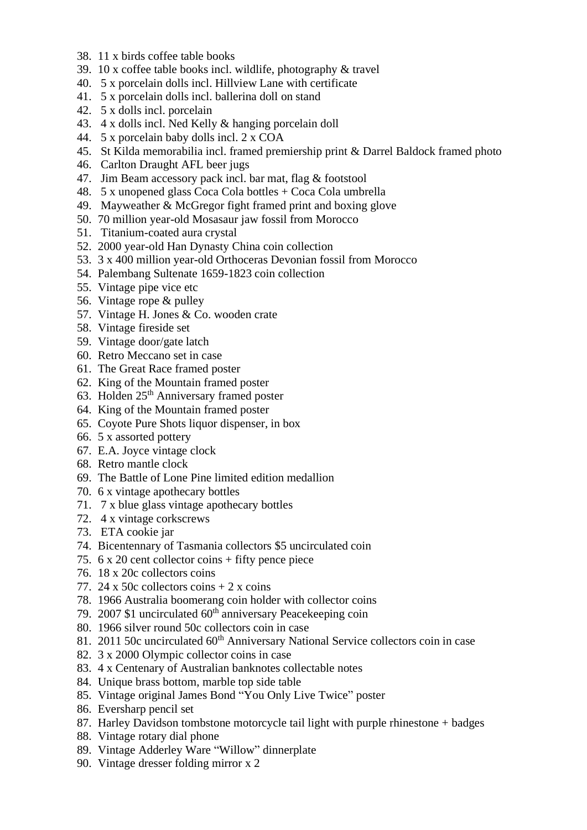- 38. 11 x birds coffee table books
- 39. 10 x coffee table books incl. wildlife, photography & travel
- 40. 5 x porcelain dolls incl. Hillview Lane with certificate
- 41. 5 x porcelain dolls incl. ballerina doll on stand
- 42. 5 x dolls incl. porcelain
- 43. 4 x dolls incl. Ned Kelly & hanging porcelain doll
- 44. 5 x porcelain baby dolls incl. 2 x COA
- 45. St Kilda memorabilia incl. framed premiership print & Darrel Baldock framed photo
- 46. Carlton Draught AFL beer jugs
- 47. Jim Beam accessory pack incl. bar mat, flag & footstool
- 48. 5 x unopened glass Coca Cola bottles + Coca Cola umbrella
- 49. Mayweather & McGregor fight framed print and boxing glove
- 50. 70 million year-old Mosasaur jaw fossil from Morocco
- 51. Titanium-coated aura crystal
- 52. 2000 year-old Han Dynasty China coin collection
- 53. 3 x 400 million year-old Orthoceras Devonian fossil from Morocco
- 54. Palembang Sultenate 1659-1823 coin collection
- 55. Vintage pipe vice etc
- 56. Vintage rope & pulley
- 57. Vintage H. Jones & Co. wooden crate
- 58. Vintage fireside set
- 59. Vintage door/gate latch
- 60. Retro Meccano set in case
- 61. The Great Race framed poster
- 62. King of the Mountain framed poster
- 63. Holden 25<sup>th</sup> Anniversary framed poster
- 64. King of the Mountain framed poster
- 65. Coyote Pure Shots liquor dispenser, in box
- 66. 5 x assorted pottery
- 67. E.A. Joyce vintage clock
- 68. Retro mantle clock
- 69. The Battle of Lone Pine limited edition medallion
- 70. 6 x vintage apothecary bottles
- 71. 7 x blue glass vintage apothecary bottles
- 72. 4 x vintage corkscrews
- 73. ETA cookie jar
- 74. Bicentennary of Tasmania collectors \$5 uncirculated coin
- 75. 6 x 20 cent collector coins + fifty pence piece
- 76. 18 x 20c collectors coins
- 77. 24 x 50c collectors coins  $+ 2x$  coins
- 78. 1966 Australia boomerang coin holder with collector coins
- 79. 2007 \$1 uncirculated 60<sup>th</sup> anniversary Peacekeeping coin
- 80. 1966 silver round 50c collectors coin in case
- 81. 2011 50c uncirculated 60<sup>th</sup> Anniversary National Service collectors coin in case
- 82. 3 x 2000 Olympic collector coins in case
- 83. 4 x Centenary of Australian banknotes collectable notes
- 84. Unique brass bottom, marble top side table
- 85. Vintage original James Bond "You Only Live Twice" poster
- 86. Eversharp pencil set
- 87. Harley Davidson tombstone motorcycle tail light with purple rhinestone + badges
- 88. Vintage rotary dial phone
- 89. Vintage Adderley Ware "Willow" dinnerplate
- 90. Vintage dresser folding mirror x 2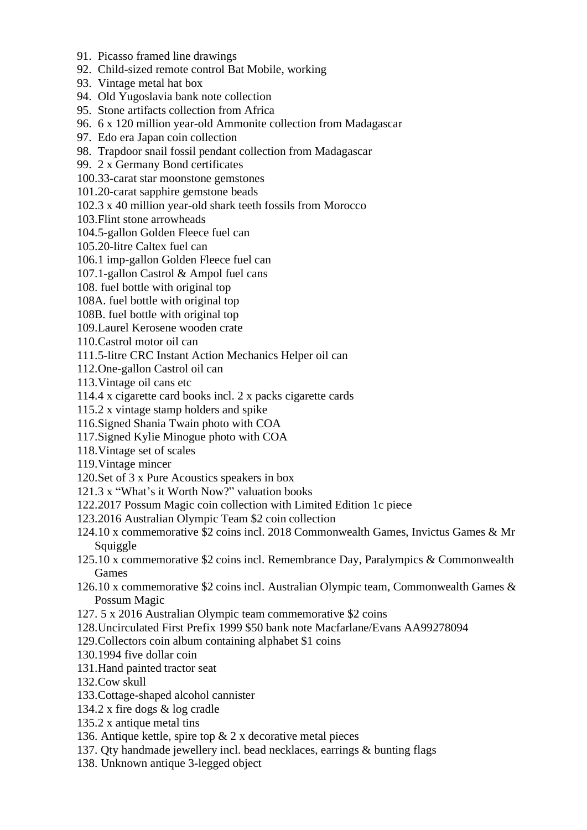- 91. Picasso framed line drawings
- 92. Child-sized remote control Bat Mobile, working
- 93. Vintage metal hat box
- 94. Old Yugoslavia bank note collection
- 95. Stone artifacts collection from Africa
- 96. 6 x 120 million year-old Ammonite collection from Madagascar
- 97. Edo era Japan coin collection
- 98. Trapdoor snail fossil pendant collection from Madagascar
- 99. 2 x Germany Bond certificates
- 100.33-carat star moonstone gemstones
- 101.20-carat sapphire gemstone beads
- 102.3 x 40 million year-old shark teeth fossils from Morocco
- 103.Flint stone arrowheads
- 104.5-gallon Golden Fleece fuel can
- 105.20-litre Caltex fuel can
- 106.1 imp-gallon Golden Fleece fuel can
- 107.1-gallon Castrol & Ampol fuel cans
- 108. fuel bottle with original top
- 108A. fuel bottle with original top
- 108B. fuel bottle with original top
- 109.Laurel Kerosene wooden crate
- 110.Castrol motor oil can
- 111.5-litre CRC Instant Action Mechanics Helper oil can
- 112.One-gallon Castrol oil can
- 113.Vintage oil cans etc
- 114.4 x cigarette card books incl. 2 x packs cigarette cards
- 115.2 x vintage stamp holders and spike
- 116.Signed Shania Twain photo with COA
- 117.Signed Kylie Minogue photo with COA
- 118.Vintage set of scales
- 119.Vintage mincer
- 120.Set of 3 x Pure Acoustics speakers in box
- 121.3 x "What's it Worth Now?" valuation books
- 122.2017 Possum Magic coin collection with Limited Edition 1c piece
- 123.2016 Australian Olympic Team \$2 coin collection
- 124.10 x commemorative \$2 coins incl. 2018 Commonwealth Games, Invictus Games & Mr Squiggle
- 125.10 x commemorative \$2 coins incl. Remembrance Day, Paralympics & Commonwealth Games
- 126.10 x commemorative \$2 coins incl. Australian Olympic team, Commonwealth Games & Possum Magic
- 127. 5 x 2016 Australian Olympic team commemorative \$2 coins
- 128.Uncirculated First Prefix 1999 \$50 bank note Macfarlane/Evans AA99278094
- 129.Collectors coin album containing alphabet \$1 coins
- 130.1994 five dollar coin
- 131.Hand painted tractor seat
- 132.Cow skull
- 133.Cottage-shaped alcohol cannister
- 134.2 x fire dogs & log cradle
- 135.2 x antique metal tins
- 136. Antique kettle, spire top & 2 x decorative metal pieces
- 137. Qty handmade jewellery incl. bead necklaces, earrings & bunting flags
- 138. Unknown antique 3-legged object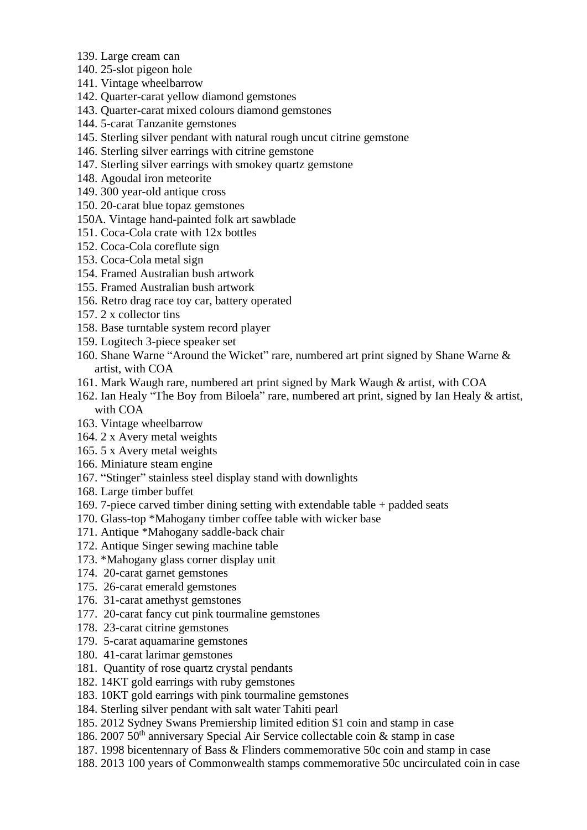- 139. Large cream can
- 140. 25-slot pigeon hole
- 141. Vintage wheelbarrow
- 142. Quarter-carat yellow diamond gemstones
- 143. Quarter-carat mixed colours diamond gemstones
- 144. 5-carat Tanzanite gemstones
- 145. Sterling silver pendant with natural rough uncut citrine gemstone
- 146. Sterling silver earrings with citrine gemstone
- 147. Sterling silver earrings with smokey quartz gemstone
- 148. Agoudal iron meteorite
- 149. 300 year-old antique cross
- 150. 20-carat blue topaz gemstones
- 150A. Vintage hand-painted folk art sawblade
- 151. Coca-Cola crate with 12x bottles
- 152. Coca-Cola coreflute sign
- 153. Coca-Cola metal sign
- 154. Framed Australian bush artwork
- 155. Framed Australian bush artwork
- 156. Retro drag race toy car, battery operated
- 157. 2 x collector tins
- 158. Base turntable system record player
- 159. Logitech 3-piece speaker set
- 160. Shane Warne "Around the Wicket" rare, numbered art print signed by Shane Warne & artist, with COA
- 161. Mark Waugh rare, numbered art print signed by Mark Waugh & artist, with COA
- 162. Ian Healy "The Boy from Biloela" rare, numbered art print, signed by Ian Healy & artist, with COA
- 163. Vintage wheelbarrow
- 164. 2 x Avery metal weights
- 165. 5 x Avery metal weights
- 166. Miniature steam engine
- 167. "Stinger" stainless steel display stand with downlights
- 168. Large timber buffet
- 169. 7-piece carved timber dining setting with extendable table + padded seats
- 170. Glass-top \*Mahogany timber coffee table with wicker base
- 171. Antique \*Mahogany saddle-back chair
- 172. Antique Singer sewing machine table
- 173. \*Mahogany glass corner display unit
- 174. 20-carat garnet gemstones
- 175. 26-carat emerald gemstones
- 176. 31-carat amethyst gemstones
- 177. 20-carat fancy cut pink tourmaline gemstones
- 178. 23-carat citrine gemstones
- 179. 5-carat aquamarine gemstones
- 180. 41-carat larimar gemstones
- 181. Quantity of rose quartz crystal pendants
- 182. 14KT gold earrings with ruby gemstones
- 183. 10KT gold earrings with pink tourmaline gemstones
- 184. Sterling silver pendant with salt water Tahiti pearl
- 185. 2012 Sydney Swans Premiership limited edition \$1 coin and stamp in case
- 186. 2007 50<sup>th</sup> anniversary Special Air Service collectable coin & stamp in case
- 187. 1998 bicentennary of Bass & Flinders commemorative 50c coin and stamp in case
- 188. 2013 100 years of Commonwealth stamps commemorative 50c uncirculated coin in case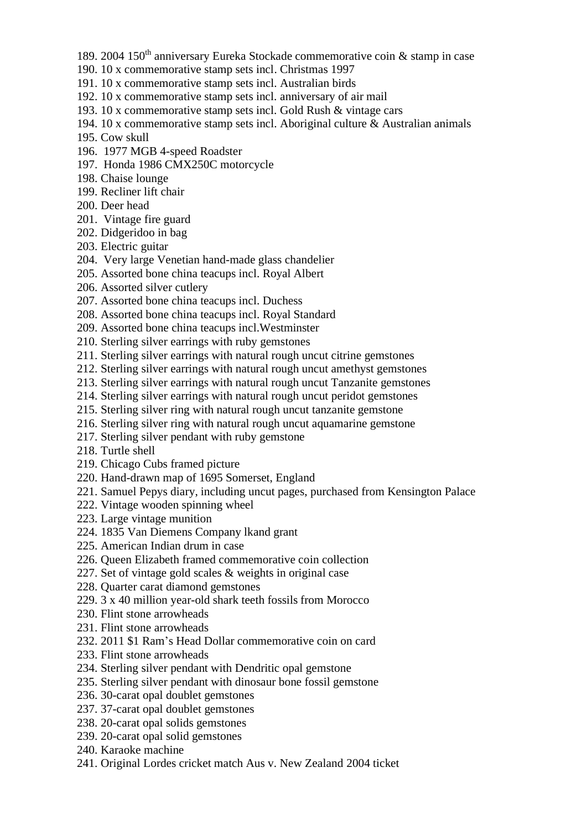- 189. 2004 150<sup>th</sup> anniversary Eureka Stockade commemorative coin  $\&$  stamp in case
- 190. 10 x commemorative stamp sets incl. Christmas 1997
- 191. 10 x commemorative stamp sets incl. Australian birds
- 192. 10 x commemorative stamp sets incl. anniversary of air mail
- 193. 10 x commemorative stamp sets incl. Gold Rush & vintage cars
- 194. 10 x commemorative stamp sets incl. Aboriginal culture & Australian animals
- 195. Cow skull
- 196. 1977 MGB 4-speed Roadster
- 197. Honda 1986 CMX250C motorcycle
- 198. Chaise lounge
- 199. Recliner lift chair
- 200. Deer head
- 201. Vintage fire guard
- 202. Didgeridoo in bag
- 203. Electric guitar
- 204. Very large Venetian hand-made glass chandelier
- 205. Assorted bone china teacups incl. Royal Albert
- 206. Assorted silver cutlery
- 207. Assorted bone china teacups incl. Duchess
- 208. Assorted bone china teacups incl. Royal Standard
- 209. Assorted bone china teacups incl.Westminster
- 210. Sterling silver earrings with ruby gemstones
- 211. Sterling silver earrings with natural rough uncut citrine gemstones
- 212. Sterling silver earrings with natural rough uncut amethyst gemstones
- 213. Sterling silver earrings with natural rough uncut Tanzanite gemstones
- 214. Sterling silver earrings with natural rough uncut peridot gemstones
- 215. Sterling silver ring with natural rough uncut tanzanite gemstone
- 216. Sterling silver ring with natural rough uncut aquamarine gemstone
- 217. Sterling silver pendant with ruby gemstone
- 218. Turtle shell
- 219. Chicago Cubs framed picture
- 220. Hand-drawn map of 1695 Somerset, England
- 221. Samuel Pepys diary, including uncut pages, purchased from Kensington Palace
- 222. Vintage wooden spinning wheel
- 223. Large vintage munition
- 224. 1835 Van Diemens Company lkand grant
- 225. American Indian drum in case
- 226. Queen Elizabeth framed commemorative coin collection
- 227. Set of vintage gold scales & weights in original case
- 228. Quarter carat diamond gemstones
- 229. 3 x 40 million year-old shark teeth fossils from Morocco
- 230. Flint stone arrowheads
- 231. Flint stone arrowheads
- 232. 2011 \$1 Ram's Head Dollar commemorative coin on card
- 233. Flint stone arrowheads
- 234. Sterling silver pendant with Dendritic opal gemstone
- 235. Sterling silver pendant with dinosaur bone fossil gemstone
- 236. 30-carat opal doublet gemstones
- 237. 37-carat opal doublet gemstones
- 238. 20-carat opal solids gemstones
- 239. 20-carat opal solid gemstones
- 240. Karaoke machine
- 241. Original Lordes cricket match Aus v. New Zealand 2004 ticket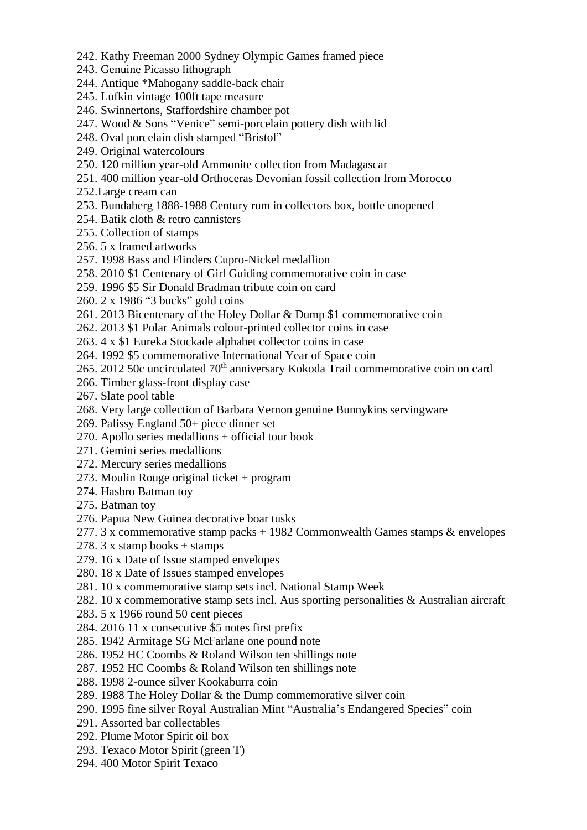- 242. Kathy Freeman 2000 Sydney Olympic Games framed piece
- 243. Genuine Picasso lithograph
- 244. Antique \*Mahogany saddle-back chair
- 245. Lufkin vintage 100ft tape measure
- 246. Swinnertons, Staffordshire chamber pot
- 247. Wood & Sons "Venice" semi-porcelain pottery dish with lid
- 248. Oval porcelain dish stamped "Bristol"
- 249. Original watercolours
- 250. 120 million year-old Ammonite collection from Madagascar
- 251. 400 million year-old Orthoceras Devonian fossil collection from Morocco
- 252.Large cream can
- 253. Bundaberg 1888-1988 Century rum in collectors box, bottle unopened
- 254. Batik cloth & retro cannisters
- 255. Collection of stamps
- 256. 5 x framed artworks
- 257. 1998 Bass and Flinders Cupro-Nickel medallion
- 258. 2010 \$1 Centenary of Girl Guiding commemorative coin in case
- 259. 1996 \$5 Sir Donald Bradman tribute coin on card
- 260. 2 x 1986 "3 bucks" gold coins
- 261. 2013 Bicentenary of the Holey Dollar & Dump \$1 commemorative coin
- 262. 2013 \$1 Polar Animals colour-printed collector coins in case
- 263. 4 x \$1 Eureka Stockade alphabet collector coins in case
- 264. 1992 \$5 commemorative International Year of Space coin
- 265. 2012 50c uncirculated 70<sup>th</sup> anniversary Kokoda Trail commemorative coin on card
- 266. Timber glass-front display case
- 267. Slate pool table
- 268. Very large collection of Barbara Vernon genuine Bunnykins servingware
- 269. Palissy England 50+ piece dinner set
- 270. Apollo series medallions + official tour book
- 271. Gemini series medallions
- 272. Mercury series medallions
- 273. Moulin Rouge original ticket + program
- 274. Hasbro Batman toy
- 275. Batman toy
- 276. Papua New Guinea decorative boar tusks
- 277. 3 x commemorative stamp packs + 1982 Commonwealth Games stamps & envelopes
- 278.  $3 \times$  stamp books + stamps
- 279. 16 x Date of Issue stamped envelopes
- 280. 18 x Date of Issues stamped envelopes
- 281. 10 x commemorative stamp sets incl. National Stamp Week
- 282. 10 x commemorative stamp sets incl. Aus sporting personalities & Australian aircraft
- 283. 5 x 1966 round 50 cent pieces
- 284. 2016 11 x consecutive \$5 notes first prefix
- 285. 1942 Armitage SG McFarlane one pound note
- 286. 1952 HC Coombs & Roland Wilson ten shillings note
- 287. 1952 HC Coombs & Roland Wilson ten shillings note
- 288. 1998 2-ounce silver Kookaburra coin
- 289. 1988 The Holey Dollar & the Dump commemorative silver coin
- 290. 1995 fine silver Royal Australian Mint "Australia's Endangered Species" coin
- 291. Assorted bar collectables
- 292. Plume Motor Spirit oil box
- 293. Texaco Motor Spirit (green T)
- 294. 400 Motor Spirit Texaco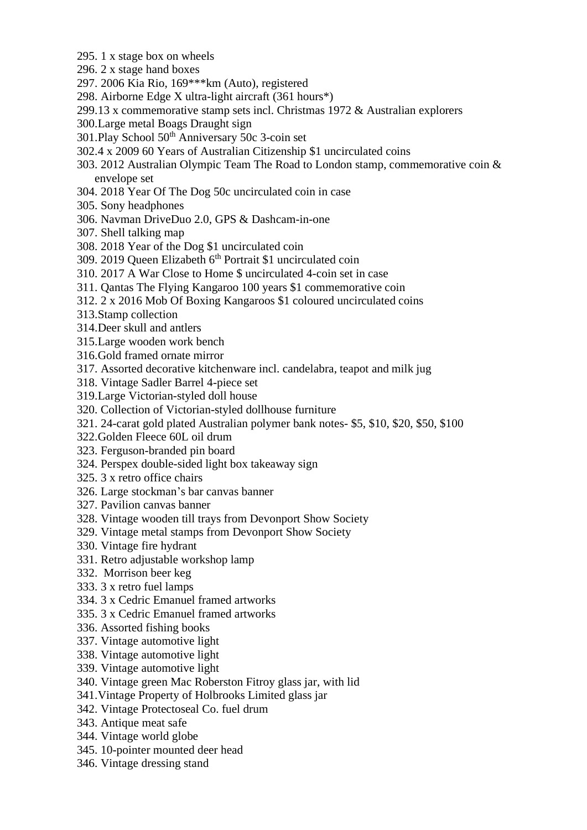- 295. 1 x stage box on wheels
- 296. 2 x stage hand boxes
- 297. 2006 Kia Rio, 169\*\*\*km (Auto), registered
- 298. Airborne Edge X ultra-light aircraft (361 hours\*)
- 299.13 x commemorative stamp sets incl. Christmas 1972 & Australian explorers
- 300.Large metal Boags Draught sign
- 301.Play School 50th Anniversary 50c 3-coin set
- 302.4 x 2009 60 Years of Australian Citizenship \$1 uncirculated coins
- 303. 2012 Australian Olympic Team The Road to London stamp, commemorative coin & envelope set
- 304. 2018 Year Of The Dog 50c uncirculated coin in case
- 305. Sony headphones
- 306. Navman DriveDuo 2.0, GPS & Dashcam-in-one
- 307. Shell talking map
- 308. 2018 Year of the Dog \$1 uncirculated coin
- 309. 2019 Oueen Elizabeth 6<sup>th</sup> Portrait \$1 uncirculated coin
- 310. 2017 A War Close to Home \$ uncirculated 4-coin set in case
- 311. Qantas The Flying Kangaroo 100 years \$1 commemorative coin
- 312. 2 x 2016 Mob Of Boxing Kangaroos \$1 coloured uncirculated coins
- 313.Stamp collection
- 314.Deer skull and antlers
- 315.Large wooden work bench
- 316.Gold framed ornate mirror
- 317. Assorted decorative kitchenware incl. candelabra, teapot and milk jug
- 318. Vintage Sadler Barrel 4-piece set
- 319.Large Victorian-styled doll house
- 320. Collection of Victorian-styled dollhouse furniture
- 321. 24-carat gold plated Australian polymer bank notes- \$5, \$10, \$20, \$50, \$100
- 322.Golden Fleece 60L oil drum
- 323. Ferguson-branded pin board
- 324. Perspex double-sided light box takeaway sign
- 325. 3 x retro office chairs
- 326. Large stockman's bar canvas banner
- 327. Pavilion canvas banner
- 328. Vintage wooden till trays from Devonport Show Society
- 329. Vintage metal stamps from Devonport Show Society
- 330. Vintage fire hydrant
- 331. Retro adjustable workshop lamp
- 332. Morrison beer keg
- 333. 3 x retro fuel lamps
- 334. 3 x Cedric Emanuel framed artworks
- 335. 3 x Cedric Emanuel framed artworks
- 336. Assorted fishing books
- 337. Vintage automotive light
- 338. Vintage automotive light
- 339. Vintage automotive light
- 340. Vintage green Mac Roberston Fitroy glass jar, with lid
- 341.Vintage Property of Holbrooks Limited glass jar
- 342. Vintage Protectoseal Co. fuel drum
- 343. Antique meat safe
- 344. Vintage world globe
- 345. 10-pointer mounted deer head
- 346. Vintage dressing stand